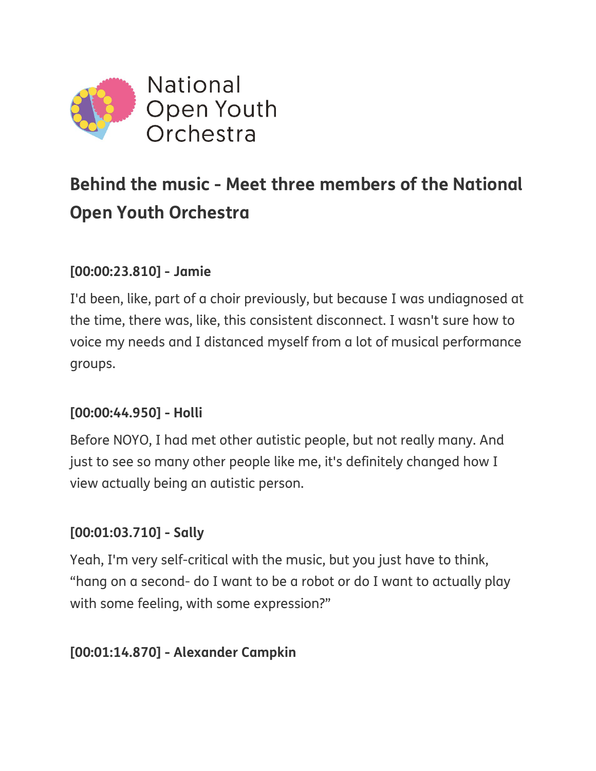

# **Behind the music - Meet three members of the National Open Youth Orchestra**

#### **[00:00:23.810] - Jamie**

I'd been, like, part of a choir previously, but because I was undiagnosed at the time, there was, like, this consistent disconnect. I wasn't sure how to voice my needs and I distanced myself from a lot of musical performance groups.

# **[00:00:44.950] - Holli**

Before NOYO, I had met other autistic people, but not really many. And just to see so many other people like me, it's definitely changed how I view actually being an autistic person.

#### **[00:01:03.710] - Sally**

Yeah, I'm very self-critical with the music, but you just have to think, "hang on a second- do I want to be a robot or do I want to actually play with some feeling, with some expression?"

#### **[00:01:14.870] - Alexander Campkin**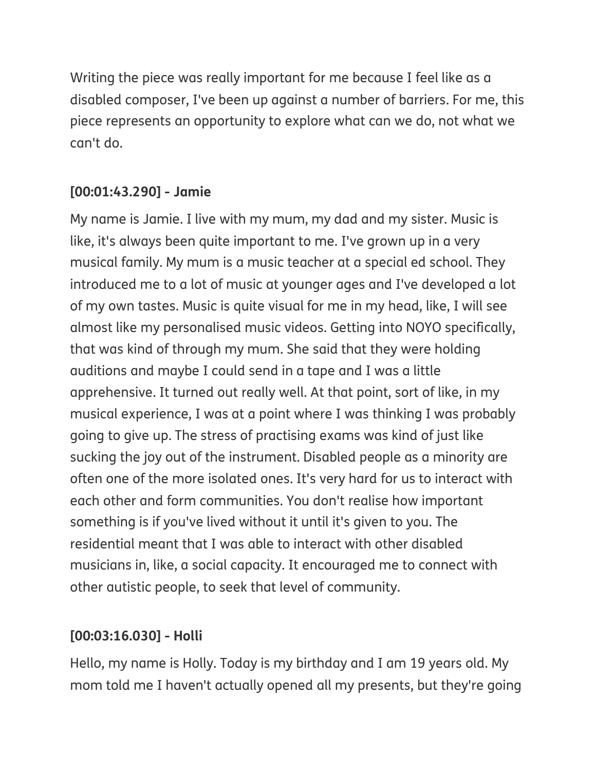Writing the piece was really important for me because I feel like as a disabled composer, I've been up against a number of barriers. For me, this piece represents an opportunity to explore what can we do, not what we can't do.

# **[00:01:43.290] - Jamie**

My name is Jamie. I live with my mum, my dad and my sister. Music is like, it's always been quite important to me. I've grown up in a very musical family. My mum is a music teacher at a special ed school. They introduced me to a lot of music at younger ages and I've developed a lot of my own tastes. Music is quite visual for me in my head, like, I will see almost like my personalised music videos. Getting into NOYO specifically, that was kind of through my mum. She said that they were holding auditions and maybe I could send in a tape and I was a little apprehensive. It turned out really well. At that point, sort of like, in my musical experience, I was at a point where I was thinking I was probably going to give up. The stress of practising exams was kind of just like sucking the joy out of the instrument. Disabled people as a minority are often one of the more isolated ones. It's very hard for us to interact with each other and form communities. You don't realise how important something is if you've lived without it until it's given to you. The residential meant that I was able to interact with other disabled musicians in, like, a social capacity. It encouraged me to connect with other autistic people, to seek that level of community.

# **[00:03:16.030] - Holli**

Hello, my name is Holly. Today is my birthday and I am 19 years old. My mom told me I haven't actually opened all my presents, but they're going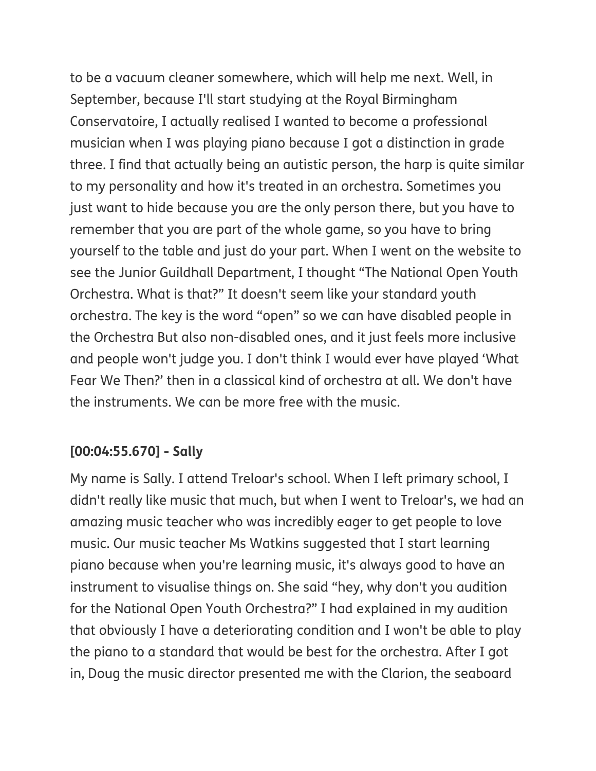to be a vacuum cleaner somewhere, which will help me next. Well, in September, because I'll start studying at the Royal Birmingham Conservatoire, I actually realised I wanted to become a professional musician when I was playing piano because I got a distinction in grade three. I find that actually being an autistic person, the harp is quite similar to my personality and how it's treated in an orchestra. Sometimes you just want to hide because you are the only person there, but you have to remember that you are part of the whole game, so you have to bring yourself to the table and just do your part. When I went on the website to see the Junior Guildhall Department, I thought "The National Open Youth Orchestra. What is that?" It doesn't seem like your standard youth orchestra. The key is the word "open" so we can have disabled people in the Orchestra But also non-disabled ones, and it just feels more inclusive and people won't judge you. I don't think I would ever have played 'What Fear We Then?' then in a classical kind of orchestra at all. We don't have the instruments. We can be more free with the music.

# **[00:04:55.670] - Sally**

My name is Sally. I attend Treloar's school. When I left primary school, I didn't really like music that much, but when I went to Treloar's, we had an amazing music teacher who was incredibly eager to get people to love music. Our music teacher Ms Watkins suggested that I start learning piano because when you're learning music, it's always good to have an instrument to visualise things on. She said "hey, why don't you audition for the National Open Youth Orchestra?" I had explained in my audition that obviously I have a deteriorating condition and I won't be able to play the piano to a standard that would be best for the orchestra. After I got in, Doug the music director presented me with the Clarion, the seaboard